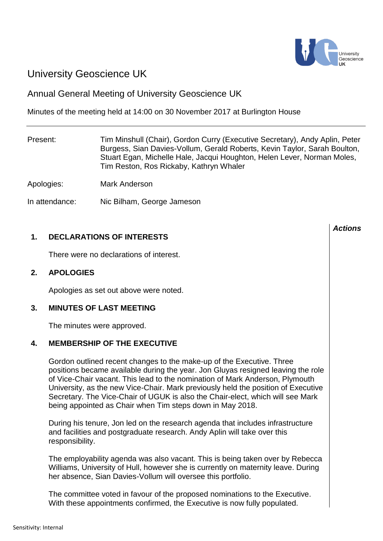

# University Geoscience UK

## Annual General Meeting of University Geoscience UK

Minutes of the meeting held at 14:00 on 30 November 2017 at Burlington House

Present: Tim Minshull (Chair), Gordon Curry (Executive Secretary), Andy Aplin, Peter Burgess, Sian Davies-Vollum, Gerald Roberts, Kevin Taylor, Sarah Boulton, Stuart Egan, Michelle Hale, Jacqui Houghton, Helen Lever, Norman Moles, Tim Reston, Ros Rickaby, Kathryn Whaler

Apologies: Mark Anderson

In attendance: Nic Bilham, George Jameson

## **1. DECLARATIONS OF INTERESTS**

There were no declarations of interest.

## **2. APOLOGIES**

Apologies as set out above were noted.

## **3. MINUTES OF LAST MEETING**

The minutes were approved.

## **4. MEMBERSHIP OF THE EXECUTIVE**

Gordon outlined recent changes to the make-up of the Executive. Three positions became available during the year. Jon Gluyas resigned leaving the role of Vice-Chair vacant. This lead to the nomination of Mark Anderson, Plymouth University, as the new Vice-Chair. Mark previously held the position of Executive Secretary. The Vice-Chair of UGUK is also the Chair-elect, which will see Mark being appointed as Chair when Tim steps down in May 2018.

During his tenure, Jon led on the research agenda that includes infrastructure and facilities and postgraduate research. Andy Aplin will take over this responsibility.

The employability agenda was also vacant. This is being taken over by Rebecca Williams, University of Hull, however she is currently on maternity leave. During her absence, Sian Davies-Vollum will oversee this portfolio.

The committee voted in favour of the proposed nominations to the Executive. With these appointments confirmed, the Executive is now fully populated.

#### *Actions*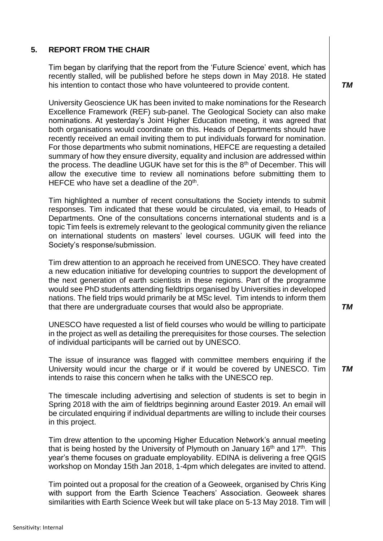## **5. REPORT FROM THE CHAIR**

Tim began by clarifying that the report from the 'Future Science' event, which has recently stalled, will be published before he steps down in May 2018. He stated his intention to contact those who have volunteered to provide content.

University Geoscience UK has been invited to make nominations for the Research Excellence Framework (REF) sub-panel. The Geological Society can also make nominations. At yesterday's Joint Higher Education meeting, it was agreed that both organisations would coordinate on this. Heads of Departments should have recently received an email inviting them to put individuals forward for nomination. For those departments who submit nominations, HEFCE are requesting a detailed summary of how they ensure diversity, equality and inclusion are addressed within the process. The deadline UGUK have set for this is the 8<sup>th</sup> of December. This will allow the executive time to review all nominations before submitting them to HEFCE who have set a deadline of the  $20<sup>th</sup>$ .

Tim highlighted a number of recent consultations the Society intends to submit responses. Tim indicated that these would be circulated, via email, to Heads of Departments. One of the consultations concerns international students and is a topic Tim feels is extremely relevant to the geological community given the reliance on international students on masters' level courses. UGUK will feed into the Society's response/submission.

Tim drew attention to an approach he received from UNESCO. They have created a new education initiative for developing countries to support the development of the next generation of earth scientists in these regions. Part of the programme would see PhD students attending fieldtrips organised by Universities in developed nations. The field trips would primarily be at MSc level. Tim intends to inform them that there are undergraduate courses that would also be appropriate.

UNESCO have requested a list of field courses who would be willing to participate in the project as well as detailing the prerequisites for those courses. The selection of individual participants will be carried out by UNESCO.

The issue of insurance was flagged with committee members enquiring if the University would incur the charge or if it would be covered by UNESCO. Tim intends to raise this concern when he talks with the UNESCO rep.

The timescale including advertising and selection of students is set to begin in Spring 2018 with the aim of fieldtrips beginning around Easter 2019. An email will be circulated enquiring if individual departments are willing to include their courses in this project.

Tim drew attention to the upcoming Higher Education Network's annual meeting that is being hosted by the University of Plymouth on January 16<sup>th</sup> and 17<sup>th</sup>. This year's theme focuses on graduate employability. EDINA is delivering a free QGIS workshop on Monday 15th Jan 2018, 1-4pm which delegates are invited to attend.

Tim pointed out a proposal for the creation of a Geoweek, organised by Chris King with support from the Earth Science Teachers' Association. Geoweek shares similarities with Earth Science Week but will take place on 5-13 May 2018. Tim will *TM*

*TM*

*TM*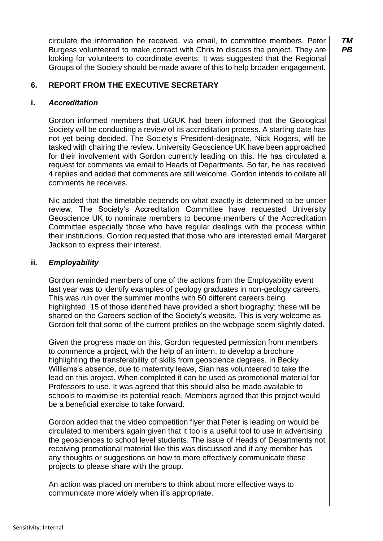circulate the information he received, via email, to committee members. Peter Burgess volunteered to make contact with Chris to discuss the project. They are looking for volunteers to coordinate events. It was suggested that the Regional Groups of the Society should be made aware of this to help broaden engagement.

## **6. REPORT FROM THE EXECUTIVE SECRETARY**

#### **i.** *Accreditation*

Gordon informed members that UGUK had been informed that the Geological Society will be conducting a review of its accreditation process. A starting date has not yet being decided. The Society's President-designate, Nick Rogers, will be tasked with chairing the review. University Geoscience UK have been approached for their involvement with Gordon currently leading on this. He has circulated a request for comments via email to Heads of Departments. So far, he has received 4 replies and added that comments are still welcome. Gordon intends to collate all comments he receives.

Nic added that the timetable depends on what exactly is determined to be under review. The Society's Accreditation Committee have requested University Geoscience UK to nominate members to become members of the Accreditation Committee especially those who have regular dealings with the process within their institutions. Gordon requested that those who are interested email Margaret Jackson to express their interest.

#### **ii.** *Employability*

Gordon reminded members of one of the actions from the Employability event last year was to identify examples of geology graduates in non-geology careers. This was run over the summer months with 50 different careers being highlighted. 15 of those identified have provided a short biography; these will be shared on the Careers section of the Society's website. This is very welcome as Gordon felt that some of the current profiles on the webpage seem slightly dated.

Given the progress made on this, Gordon requested permission from members to commence a project, with the help of an intern, to develop a brochure highlighting the transferability of skills from geoscience degrees. In Becky Williams's absence, due to maternity leave, Sian has volunteered to take the lead on this project. When completed it can be used as promotional material for Professors to use. It was agreed that this should also be made available to schools to maximise its potential reach. Members agreed that this project would be a beneficial exercise to take forward.

Gordon added that the video competition flyer that Peter is leading on would be circulated to members again given that it too is a useful tool to use in advertising the geosciences to school level students. The issue of Heads of Departments not receiving promotional material like this was discussed and if any member has any thoughts or suggestions on how to more effectively communicate these projects to please share with the group.

An action was placed on members to think about more effective ways to communicate more widely when it's appropriate.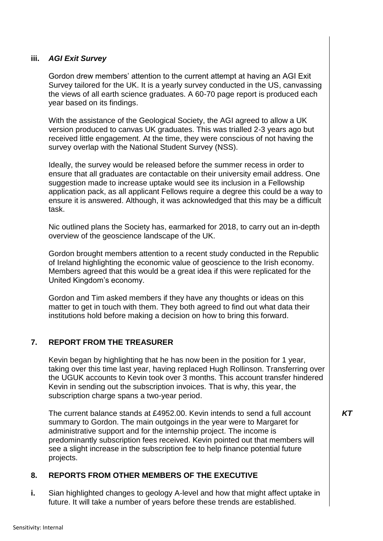## **iii.** *AGI Exit Survey*

Gordon drew members' attention to the current attempt at having an AGI Exit Survey tailored for the UK. It is a yearly survey conducted in the US, canvassing the views of all earth science graduates. A 60-70 page report is produced each year based on its findings.

With the assistance of the Geological Society, the AGI agreed to allow a UK version produced to canvas UK graduates. This was trialled 2-3 years ago but received little engagement. At the time, they were conscious of not having the survey overlap with the National Student Survey (NSS).

Ideally, the survey would be released before the summer recess in order to ensure that all graduates are contactable on their university email address. One suggestion made to increase uptake would see its inclusion in a Fellowship application pack, as all applicant Fellows require a degree this could be a way to ensure it is answered. Although, it was acknowledged that this may be a difficult task.

Nic outlined plans the Society has, earmarked for 2018, to carry out an in-depth overview of the geoscience landscape of the UK.

Gordon brought members attention to a recent study conducted in the Republic of Ireland highlighting the economic value of geoscience to the Irish economy. Members agreed that this would be a great idea if this were replicated for the United Kingdom's economy.

Gordon and Tim asked members if they have any thoughts or ideas on this matter to get in touch with them. They both agreed to find out what data their institutions hold before making a decision on how to bring this forward.

## **7. REPORT FROM THE TREASURER**

Kevin began by highlighting that he has now been in the position for 1 year, taking over this time last year, having replaced Hugh Rollinson. Transferring over the UGUK accounts to Kevin took over 3 months. This account transfer hindered Kevin in sending out the subscription invoices. That is why, this year, the subscription charge spans a two-year period.

The current balance stands at £4952.00. Kevin intends to send a full account summary to Gordon. The main outgoings in the year were to Margaret for administrative support and for the internship project. The income is predominantly subscription fees received. Kevin pointed out that members will see a slight increase in the subscription fee to help finance potential future projects.

## **8. REPORTS FROM OTHER MEMBERS OF THE EXECUTIVE**

**i.** Sian highlighted changes to geology A-level and how that might affect uptake in future. It will take a number of years before these trends are established.

*KT*